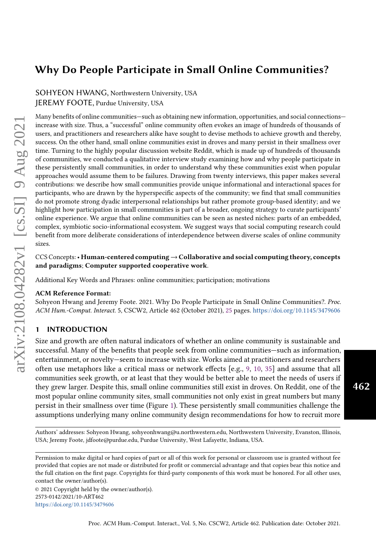SOHYEON HWANG, Northwestern University, USA JEREMY FOOTE, Purdue University, USA

Many benefits of online communities—such as obtaining new information, opportunities, and social connections increase with size. Thus, a "successful" online community often evokes an image of hundreds of thousands of users, and practitioners and researchers alike have sought to devise methods to achieve growth and thereby, success. On the other hand, small online communities exist in droves and many persist in their smallness over time. Turning to the highly popular discussion website Reddit, which is made up of hundreds of thousands of communities, we conducted a qualitative interview study examining how and why people participate in these persistently small communities, in order to understand why these communities exist when popular approaches would assume them to be failures. Drawing from twenty interviews, this paper makes several contributions: we describe how small communities provide unique informational and interactional spaces for participants, who are drawn by the hyperspecific aspects of the community; we find that small communities do not promote strong dyadic interpersonal relationships but rather promote group-based identity; and we highlight how participation in small communities is part of a broader, ongoing strategy to curate participants' online experience. We argue that online communities can be seen as nested niches: parts of an embedded, complex, symbiotic socio-informational ecosystem. We suggest ways that social computing research could benefit from more deliberate considerations of interdependence between diverse scales of online community sizes.

CCS Concepts:• Human-centered computing→Collaborative and social computing theory, concepts and paradigms; Computer supported cooperative work.

Additional Key Words and Phrases: online communities; participation; motivations

#### ACM Reference Format:

Sohyeon Hwang and Jeremy Foote. 2021. Why Do People Participate in Small Online Communities?. Proc. ACM Hum.-Comput. Interact. 5, CSCW2, Article 462 (October 2021), [25](#page-24-0) pages. <https://doi.org/10.1145/3479606>

## 1 INTRODUCTION

Size and growth are often natural indicators of whether an online community is sustainable and successful. Many of the benefits that people seek from online communities—such as information, entertainment, or novelty—seem to increase with size. Works aimed at practitioners and researchers often use metaphors like a critical mass or network effects [e.g., [9,](#page-21-0) [10,](#page-21-1) [35\]](#page-22-0) and assume that all communities seek growth, or at least that they would be better able to meet the needs of users if they grew larger. Despite this, small online communities still exist in droves. On Reddit, one of the most popular online community sites, small communities not only exist in great numbers but many persist in their smallness over time (Figure [1\)](#page-1-0). These persistently small communities challenge the assumptions underlying many online community design recommendations for how to recruit more

Authors' addresses: Sohyeon Hwang, sohyeonhwang@u.northwestern.edu, Northwestern University, Evanston, Illinois, USA; Jeremy Foote, jdfoote@purdue.edu, Purdue University, West Lafayette, Indiana, USA.

Permission to make digital or hard copies of part or all of this work for personal or classroom use is granted without fee provided that copies are not made or distributed for profit or commercial advantage and that copies bear this notice and the full citation on the first page. Copyrights for third-party components of this work must be honored. For all other uses, contact the owner/author(s).

© 2021 Copyright held by the owner/author(s). 2573-0142/2021/10-ART462 <https://doi.org/10.1145/3479606>

462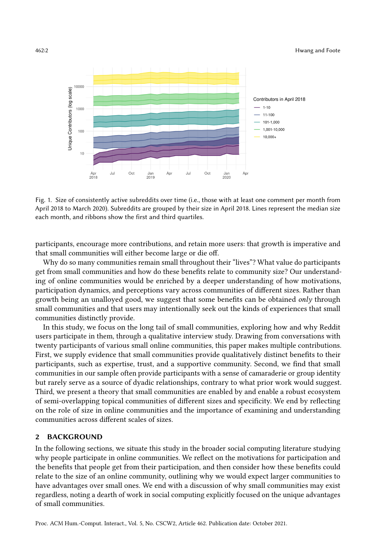<span id="page-1-0"></span>

Fig. 1. Size of consistently active subreddits over time (i.e., those with at least one comment per month from April 2018 to March 2020). Subreddits are grouped by their size in April 2018. Lines represent the median size each month, and ribbons show the first and third quartiles.

participants, encourage more contributions, and retain more users: that growth is imperative and that small communities will either become large or die off.

Why do so many communities remain small throughout their "lives"? What value do participants get from small communities and how do these benefits relate to community size? Our understanding of online communities would be enriched by a deeper understanding of how motivations, participation dynamics, and perceptions vary across communities of different sizes. Rather than growth being an unalloyed good, we suggest that some benefits can be obtained only through small communities and that users may intentionally seek out the kinds of experiences that small communities distinctly provide.

In this study, we focus on the long tail of small communities, exploring how and why Reddit users participate in them, through a qualitative interview study. Drawing from conversations with twenty participants of various small online communities, this paper makes multiple contributions. First, we supply evidence that small communities provide qualitatively distinct benefits to their participants, such as expertise, trust, and a supportive community. Second, we find that small communities in our sample often provide participants with a sense of camaraderie or group identity but rarely serve as a source of dyadic relationships, contrary to what prior work would suggest. Third, we present a theory that small communities are enabled by and enable a robust ecosystem of semi-overlapping topical communities of different sizes and specificity. We end by reflecting on the role of size in online communities and the importance of examining and understanding communities across different scales of sizes.

# 2 BACKGROUND

In the following sections, we situate this study in the broader social computing literature studying why people participate in online communities. We reflect on the motivations for participation and the benefits that people get from their participation, and then consider how these benefits could relate to the size of an online community, outlining why we would expect larger communities to have advantages over small ones. We end with a discussion of why small communities may exist regardless, noting a dearth of work in social computing explicitly focused on the unique advantages of small communities.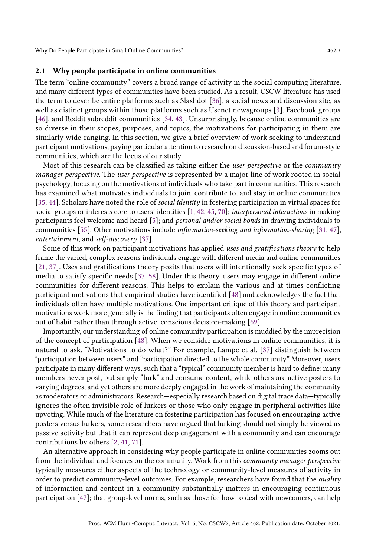## 2.1 Why people participate in online communities

The term "online community" covers a broad range of activity in the social computing literature, and many different types of communities have been studied. As a result, CSCW literature has used the term to describe entire platforms such as Slashdot [\[36\]](#page-22-1), a social news and discussion site, as well as distinct groups within those platforms such as Usenet newsgroups [\[3\]](#page-20-0), Facebook groups [\[46\]](#page-22-2), and Reddit subreddit communities [\[34,](#page-22-3) [43\]](#page-22-4). Unsurprisingly, because online communities are so diverse in their scopes, purposes, and topics, the motivations for participating in them are similarly wide-ranging. In this section, we give a brief overview of work seeking to understand participant motivations, paying particular attention to research on discussion-based and forum-style communities, which are the locus of our study.

Most of this research can be classified as taking either the *user perspective* or the *community* manager perspective. The user perspective is represented by a major line of work rooted in social psychology, focusing on the motivations of individuals who take part in communities. This research has examined what motivates individuals to join, contribute to, and stay in online communities [\[35,](#page-22-0) [44\]](#page-22-5). Scholars have noted the role of social identity in fostering participation in virtual spaces for social groups or interests core to users' identities [\[1,](#page-20-1) [42,](#page-22-6) [45,](#page-22-7) [70\]](#page-24-1); interpersonal interactions in making participants feel welcome and heard [\[5\]](#page-20-2); and personal and/or social bonds in drawing individuals to communities [\[55\]](#page-23-0). Other motivations include information-seeking and information-sharing [\[31,](#page-22-8) [47\]](#page-23-1), entertainment, and self-discovery [\[37\]](#page-22-9).

Some of this work on participant motivations has applied uses and gratifications theory to help frame the varied, complex reasons individuals engage with different media and online communities [\[21,](#page-21-2) [37\]](#page-22-9). Uses and gratifications theory posits that users will intentionally seek specific types of media to satisfy specific needs [\[37,](#page-22-9) [58\]](#page-23-2). Under this theory, users may engage in different online communities for different reasons. This helps to explain the various and at times conflicting participant motivations that empirical studies have identified [\[48\]](#page-23-3) and acknowledges the fact that individuals often have multiple motivations. One important critique of this theory and participant motivations work more generally is the finding that participants often engage in online communities out of habit rather than through active, conscious decision-making [\[69\]](#page-23-4).

Importantly, our understanding of online community participation is muddied by the imprecision of the concept of participation [\[48\]](#page-23-3). When we consider motivations in online communities, it is natural to ask, "Motivations to do what?" For example, Lampe et al. [\[37\]](#page-22-9) distinguish between "participation between users" and "participation directed to the whole community." Moreover, users participate in many different ways, such that a "typical" community member is hard to define: many members never post, but simply "lurk" and consume content, while others are active posters to varying degrees, and yet others are more deeply engaged in the work of maintaining the community as moderators or administrators. Research—especially research based on digital trace data—typically ignores the often invisible role of lurkers or those who only engage in peripheral activities like upvoting. While much of the literature on fostering participation has focused on encouraging active posters versus lurkers, some researchers have argued that lurking should not simply be viewed as passive activity but that it can represent deep engagement with a community and can encourage contributions by others [\[2,](#page-20-3) [41,](#page-22-10) [71\]](#page-24-2).

An alternative approach in considering why people participate in online communities zooms out from the individual and focuses on the community. Work from this community manager perspective typically measures either aspects of the technology or community-level measures of activity in order to predict community-level outcomes. For example, researchers have found that the quality of information and content in a community substantially matters in encouraging continuous participation [\[47\]](#page-23-1); that group-level norms, such as those for how to deal with newcomers, can help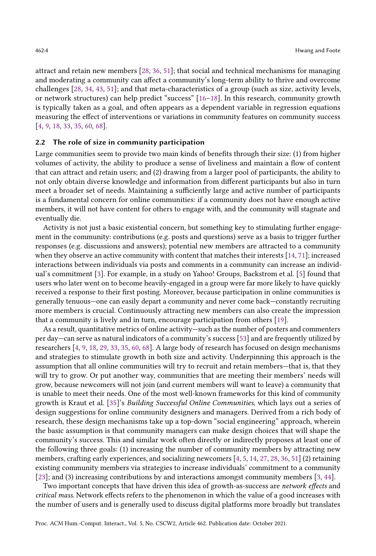attract and retain new members [\[28,](#page-22-11) [36,](#page-22-1) [51\]](#page-23-5); that social and technical mechanisms for managing and moderating a community can affect a community's long-term ability to thrive and overcome challenges [\[28,](#page-22-11) [34,](#page-22-3) [43,](#page-22-4) [51\]](#page-23-5); and that meta-characteristics of a group (such as size, activity levels, or network structures) can help predict "success" [\[16–](#page-21-3)[18\]](#page-21-4). In this research, community growth is typically taken as a goal, and often appears as a dependent variable in regression equations measuring the effect of interventions or variations in community features on community success [\[4,](#page-20-4) [9,](#page-21-0) [18,](#page-21-4) [33,](#page-22-12) [35,](#page-22-0) [60,](#page-23-6) [68\]](#page-23-7).

#### 2.2 The role of size in community participation

Large communities seem to provide two main kinds of benefits through their size: (1) from higher volumes of activity, the ability to produce a sense of liveliness and maintain a flow of content that can attract and retain users; and (2) drawing from a larger pool of participants, the ability to not only obtain diverse knowledge and information from different participants but also in turn meet a broader set of needs. Maintaining a sufficiently large and active number of participants is a fundamental concern for online communities: if a community does not have enough active members, it will not have content for others to engage with, and the community will stagnate and eventually die.

Activity is not just a basic existential concern, but something key to stimulating further engagement in the community: contributions (e.g. posts and questions) serve as a basis to trigger further responses (e.g. discussions and answers); potential new members are attracted to a community when they observe an active community with content that matches their interests [\[14,](#page-21-5) [71\]](#page-24-2); increased interactions between individuals via posts and comments in a community can increase an individual's commitment [\[3\]](#page-20-0). For example, in a study on Yahoo! Groups, Backstrom et al. [\[5\]](#page-20-2) found that users who later went on to become heavily-engaged in a group were far more likely to have quickly received a response to their first posting. Moreover, because participation in online communities is generally tenuous—one can easily depart a community and never come back—constantly recruiting more members is crucial. Continuously attracting new members can also create the impression that a community is lively and in turn, encourage participation from others [\[19\]](#page-21-6).

As a result, quantitative metrics of online activity—such as the number of posters and commenters per day—can serve as natural indicators of a community's success [\[53\]](#page-23-8) and are frequently utilized by researchers [\[4,](#page-20-4) [9,](#page-21-0) [18,](#page-21-4) [29,](#page-22-13) [33,](#page-22-12) [35,](#page-22-0) [60,](#page-23-6) [68\]](#page-23-7). A large body of research has focused on design mechanisms and strategies to stimulate growth in both size and activity. Underpinning this approach is the assumption that all online communities will try to recruit and retain members—that is, that they will try to grow. Or put another way, communities that are meeting their members' needs will grow, because newcomers will not join (and current members will want to leave) a community that is unable to meet their needs. One of the most well-known frameworks for this kind of community growth is Kraut et al. [\[35\]](#page-22-0)'s Building Successful Online Communities, which lays out a series of design suggestions for online community designers and managers. Derived from a rich body of research, these design mechanisms take up a top-down "social engineering" approach, wherein the basic assumption is that community managers can make design choices that will shape the community's success. This and similar work often directly or indirectly proposes at least one of the following three goals: (1) increasing the number of community members by attracting new members, crafting early experiences, and socializing newcomers [\[4,](#page-20-4) [5,](#page-20-2) [14,](#page-21-5) [27,](#page-21-7) [28,](#page-22-11) [36,](#page-22-1) [51\]](#page-23-5) (2) retaining existing community members via strategies to increase individuals' commitment to a community [\[23\]](#page-21-8); and (3) increasing contributions by and interactions amongst community members [\[3,](#page-20-0) [44\]](#page-22-5).

Two important concepts that have driven this idea of growth-as-success are network effects and critical mass. Network effects refers to the phenomenon in which the value of a good increases with the number of users and is generally used to discuss digital platforms more broadly but translates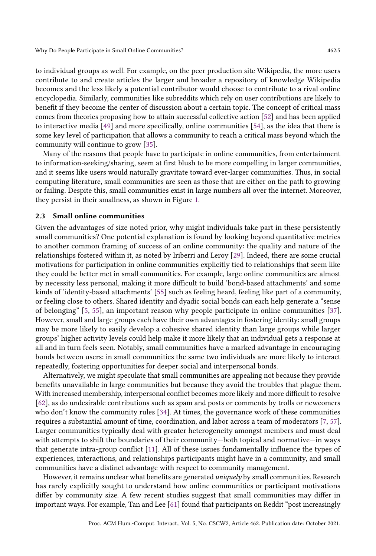to individual groups as well. For example, on the peer production site Wikipedia, the more users contribute to and create articles the larger and broader a repository of knowledge Wikipedia becomes and the less likely a potential contributor would choose to contribute to a rival online encyclopedia. Similarly, communities like subreddits which rely on user contributions are likely to benefit if they become the center of discussion about a certain topic. The concept of critical mass comes from theories proposing how to attain successful collective action [\[52\]](#page-23-9) and has been applied to interactive media [\[49\]](#page-23-10) and more specifically, online communities [\[54\]](#page-23-11), as the idea that there is some key level of participation that allows a community to reach a critical mass beyond which the community will continue to grow [\[35\]](#page-22-0).

Many of the reasons that people have to participate in online communities, from entertainment to information-seeking/sharing, seem at first blush to be more compelling in larger communities, and it seems like users would naturally gravitate toward ever-larger communities. Thus, in social computing literature, small communities are seen as those that are either on the path to growing or failing. Despite this, small communities exist in large numbers all over the internet. Moreover, they persist in their smallness, as shown in Figure [1.](#page-1-0)

#### 2.3 Small online communities

Given the advantages of size noted prior, why might individuals take part in these persistently small communities? One potential explanation is found by looking beyond quantitative metrics to another common framing of success of an online community: the quality and nature of the relationships fostered within it, as noted by Iriberri and Leroy [\[29\]](#page-22-13). Indeed, there are some crucial motivations for participation in online communities explicitly tied to relationships that seem like they could be better met in small communities. For example, large online communities are almost by necessity less personal, making it more difficult to build 'bond-based attachments' and some kinds of 'identity-based attachments' [\[55\]](#page-23-0) such as feeling heard, feeling like part of a community, or feeling close to others. Shared identity and dyadic social bonds can each help generate a "sense of belonging" [\[5,](#page-20-2) [55\]](#page-23-0), an important reason why people participate in online communities [\[37\]](#page-22-9). However, small and large groups each have their own advantages in fostering identity: small groups may be more likely to easily develop a cohesive shared identity than large groups while larger groups' higher activity levels could help make it more likely that an individual gets a response at all and in turn feels seen. Notably, small communities have a marked advantage in encouraging bonds between users: in small communities the same two individuals are more likely to interact repeatedly, fostering opportunities for deeper social and interpersonal bonds.

Alternatively, we might speculate that small communities are appealing not because they provide benefits unavailable in large communities but because they avoid the troubles that plague them. With increased membership, interpersonal conflict becomes more likely and more difficult to resolve [\[62\]](#page-23-12), as do undesirable contributions such as spam and posts or comments by trolls or newcomers who don't know the community rules [\[34\]](#page-22-3). At times, the governance work of these communities requires a substantial amount of time, coordination, and labor across a team of moderators [\[7,](#page-21-9) [57\]](#page-23-13). Larger communities typically deal with greater heterogeneity amongst members and must deal with attempts to shift the boundaries of their community—both topical and normative—in ways that generate intra-group conflict [\[11\]](#page-21-10). All of these issues fundamentally influence the types of experiences, interactions, and relationships participants might have in a community, and small communities have a distinct advantage with respect to community management.

However, it remains unclear what benefits are generated *uniquely* by small communities. Research has rarely explicitly sought to understand how online communities or participant motivations differ by community size. A few recent studies suggest that small communities may differ in important ways. For example, Tan and Lee [\[61\]](#page-23-14) found that participants on Reddit "post increasingly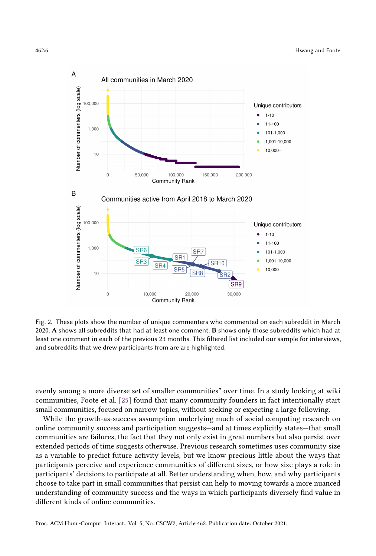<span id="page-5-0"></span>

Fig. 2. These plots show the number of unique commenters who commented on each subreddit in March 2020. A shows all subreddits that had at least one comment. B shows only those subreddits which had at least one comment in each of the previous 23 months. This filtered list included our sample for interviews, and subreddits that we drew participants from are are highlighted.

evenly among a more diverse set of smaller communities" over time. In a study looking at wiki communities, Foote et al. [\[25\]](#page-21-11) found that many community founders in fact intentionally start small communities, focused on narrow topics, without seeking or expecting a large following.

While the growth-as-success assumption underlying much of social computing research on online community success and participation suggests—and at times explicitly states—that small communities are failures, the fact that they not only exist in great numbers but also persist over extended periods of time suggests otherwise. Previous research sometimes uses community size as a variable to predict future activity levels, but we know precious little about the ways that participants perceive and experience communities of different sizes, or how size plays a role in participants' decisions to participate at all. Better understanding when, how, and why participants choose to take part in small communities that persist can help to moving towards a more nuanced understanding of community success and the ways in which participants diversely find value in different kinds of online communities.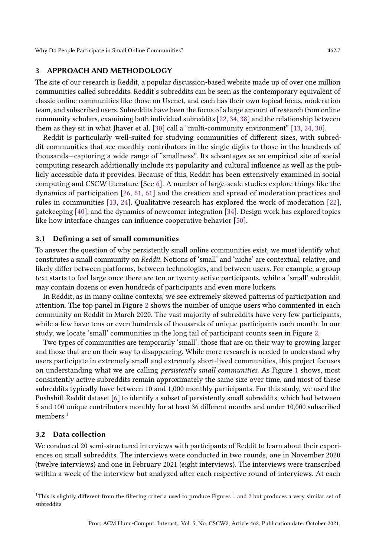# 3 APPROACH AND METHODOLOGY

The site of our research is Reddit, a popular discussion-based website made up of over one million communities called subreddits. Reddit's subreddits can be seen as the contemporary equivalent of classic online communities like those on Usenet, and each has their own topical focus, moderation team, and subscribed users. Subreddits have been the focus of a large amount of research from online community scholars, examining both individual subreddits [\[22,](#page-21-12) [34,](#page-22-3) [38\]](#page-22-14) and the relationship between them as they sit in what Jhaver et al. [\[30\]](#page-22-15) call a "multi-community environment" [\[13,](#page-21-13) [24,](#page-21-14) [30\]](#page-22-15).

Reddit is particularly well-suited for studying communities of different sizes, with subreddit communities that see monthly contributors in the single digits to those in the hundreds of thousands—capturing a wide range of "smallness". Its advantages as an empirical site of social computing research additionally include its popularity and cultural influence as well as the publicly accessible data it provides. Because of this, Reddit has been extensively examined in social computing and CSCW literature [See [6\]](#page-20-5). A number of large-scale studies explore things like the dynamics of participation [\[26,](#page-21-15) [61,](#page-23-14) [61\]](#page-23-14) and the creation and spread of moderation practices and rules in communities [\[13,](#page-21-13) [24\]](#page-21-14). Qualitative research has explored the work of moderation [\[22\]](#page-21-12), gatekeeping [\[40\]](#page-22-16), and the dynamics of newcomer integration [\[34\]](#page-22-3). Design work has explored topics like how interface changes can influence cooperative behavior [\[50\]](#page-23-15).

#### 3.1 Defining a set of small communities

To answer the question of why persistently small online communities exist, we must identify what constitutes a small community on Reddit. Notions of 'small' and 'niche' are contextual, relative, and likely differ between platforms, between technologies, and between users. For example, a group text starts to feel large once there are ten or twenty active participants, while a 'small' subreddit may contain dozens or even hundreds of participants and even more lurkers.

In Reddit, as in many online contexts, we see extremely skewed patterns of participation and attention. The top panel in Figure [2](#page-5-0) shows the number of unique users who commented in each community on Reddit in March 2020. The vast majority of subreddits have very few participants, while a few have tens or even hundreds of thousands of unique participants each month. In our study, we locate 'small' communities in the long tail of participant counts seen in Figure [2.](#page-5-0)

Two types of communities are temporarily 'small': those that are on their way to growing larger and those that are on their way to disappearing. While more research is needed to understand why users participate in extremely small and extremely short-lived communities, this project focuses on understanding what we are calling *persistently small communities*. As Figure [1](#page-1-0) shows, most consistently active subreddits remain approximately the same size over time, and most of these subreddits typically have between 10 and 1,000 monthly participants. For this study, we used the Pushshift Reddit dataset [\[6\]](#page-20-5) to identify a subset of persistently small subreddits, which had between 5 and 100 unique contributors monthly for at least 36 different months and under 10,000 subscribed members.<sup>[1](#page-6-0)</sup>

## 3.2 Data collection

We conducted 20 semi-structured interviews with participants of Reddit to learn about their experiences on small subreddits. The interviews were conducted in two rounds, one in November 2020 (twelve interviews) and one in February 2021 (eight interviews). The interviews were transcribed within a week of the interview but analyzed after each respective round of interviews. At each

<span id="page-6-0"></span> $1$ This is slightly different from the filtering criteria used to produce Figures 1 and [2](#page-5-0) but produces a very similar set of subreddits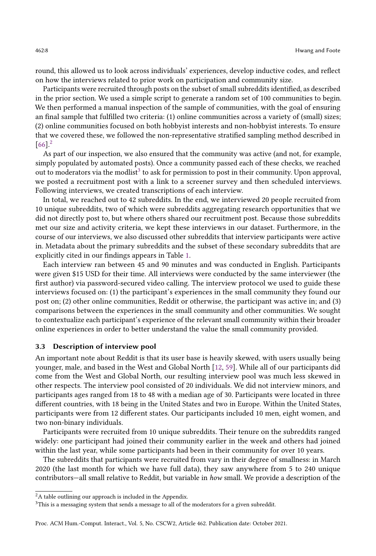round, this allowed us to look across individuals' experiences, develop inductive codes, and reflect on how the interviews related to prior work on participation and community size.

Participants were recruited through posts on the subset of small subreddits identified, as described in the prior section. We used a simple script to generate a random set of 100 communities to begin. We then performed a manual inspection of the sample of communities, with the goal of ensuring an final sample that fulfilled two criteria: (1) online communities across a variety of (small) sizes; (2) online communities focused on both hobbyist interests and non-hobbyist interests. To ensure that we covered these, we followed the non-representative stratified sampling method described in  $[66]$ <sup>[2](#page-7-0)</sup>

As part of our inspection, we also ensured that the community was active (and not, for example, simply populated by automated posts). Once a community passed each of these checks, we reached out to moderators via the modlist $3$  to ask for permission to post in their community. Upon approval, we posted a recruitment post with a link to a screener survey and then scheduled interviews. Following interviews, we created transcriptions of each interview.

In total, we reached out to 42 subreddits. In the end, we interviewed 20 people recruited from 10 unique subreddits, two of which were subreddits aggregating research opportunities that we did not directly post to, but where others shared our recruitment post. Because those subreddits met our size and activity criteria, we kept these interviews in our dataset. Furthermore, in the course of our interviews, we also discussed other subreddits that interview participants were active in. Metadata about the primary subreddits and the subset of these secondary subreddits that are explicitly cited in our findings appears in Table [1.](#page-9-0)

Each interview ran between 45 and 90 minutes and was conducted in English. Participants were given \$15 USD for their time. All interviews were conducted by the same interviewer (the first author) via password-secured video calling. The interview protocol we used to guide these interviews focused on: (1) the participant's experiences in the small community they found our post on; (2) other online communities, Reddit or otherwise, the participant was active in; and (3) comparisons between the experiences in the small community and other communities. We sought to contextualize each participant's experience of the relevant small community within their broader online experiences in order to better understand the value the small community provided.

## 3.3 Description of interview pool

An important note about Reddit is that its user base is heavily skewed, with users usually being younger, male, and based in the West and Global North [\[12,](#page-21-16) [59\]](#page-23-17). While all of our participants did come from the West and Global North, our resulting interview pool was much less skewed in other respects. The interview pool consisted of 20 individuals. We did not interview minors, and participants ages ranged from 18 to 48 with a median age of 30. Participants were located in three different countries, with 18 being in the United States and two in Europe. Within the United States, participants were from 12 different states. Our participants included 10 men, eight women, and two non-binary individuals.

Participants were recruited from 10 unique subreddits. Their tenure on the subreddits ranged widely: one participant had joined their community earlier in the week and others had joined within the last year, while some participants had been in their community for over 10 years.

The subreddits that participants were recruited from vary in their degree of smallness: in March 2020 (the last month for which we have full data), they saw anywhere from 5 to 240 unique contributors—all small relative to Reddit, but variable in how small. We provide a description of the

<span id="page-7-0"></span><sup>&</sup>lt;sup>2</sup>A table outlining our approach is included in the Appendix.

<span id="page-7-1"></span><sup>&</sup>lt;sup>3</sup>This is a messaging system that sends a message to all of the moderators for a given subreddit.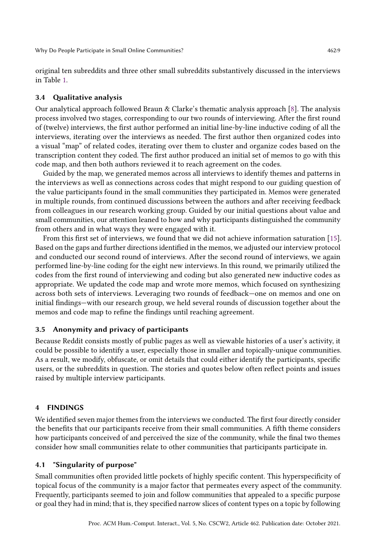original ten subreddits and three other small subreddits substantively discussed in the interviews in Table [1.](#page-9-0)

## 3.4 Qualitative analysis

Our analytical approach followed Braun & Clarke's thematic analysis approach [\[8\]](#page-21-17). The analysis process involved two stages, corresponding to our two rounds of interviewing. After the first round of (twelve) interviews, the first author performed an initial line-by-line inductive coding of all the interviews, iterating over the interviews as needed. The first author then organized codes into a visual "map" of related codes, iterating over them to cluster and organize codes based on the transcription content they coded. The first author produced an initial set of memos to go with this code map, and then both authors reviewed it to reach agreement on the codes.

Guided by the map, we generated memos across all interviews to identify themes and patterns in the interviews as well as connections across codes that might respond to our guiding question of the value participants found in the small communities they participated in. Memos were generated in multiple rounds, from continued discussions between the authors and after receiving feedback from colleagues in our research working group. Guided by our initial questions about value and small communities, our attention leaned to how and why participants distinguished the community from others and in what ways they were engaged with it.

From this first set of interviews, we found that we did not achieve information saturation [\[15\]](#page-21-18). Based on the gaps and further directions identified in the memos, we adjusted our interview protocol and conducted our second round of interviews. After the second round of interviews, we again performed line-by-line coding for the eight new interviews. In this round, we primarily utilized the codes from the first round of interviewing and coding but also generated new inductive codes as appropriate. We updated the code map and wrote more memos, which focused on synthesizing across both sets of interviews. Leveraging two rounds of feedback—one on memos and one on initial findings—with our research group, we held several rounds of discussion together about the memos and code map to refine the findings until reaching agreement.

# 3.5 Anonymity and privacy of participants

Because Reddit consists mostly of public pages as well as viewable histories of a user's activity, it could be possible to identify a user, especially those in smaller and topically-unique communities. As a result, we modify, obfuscate, or omit details that could either identify the participants, specific users, or the subreddits in question. The stories and quotes below often reflect points and issues raised by multiple interview participants.

#### 4 FINDINGS

We identified seven major themes from the interviews we conducted. The first four directly consider the benefits that our participants receive from their small communities. A fifth theme considers how participants conceived of and perceived the size of the community, while the final two themes consider how small communities relate to other communities that participants participate in.

## 4.1 "Singularity of purpose"

Small communities often provided little pockets of highly specific content. This hyperspecificity of topical focus of the community is a major factor that permeates every aspect of the community. Frequently, participants seemed to join and follow communities that appealed to a specific purpose or goal they had in mind; that is, they specified narrow slices of content types on a topic by following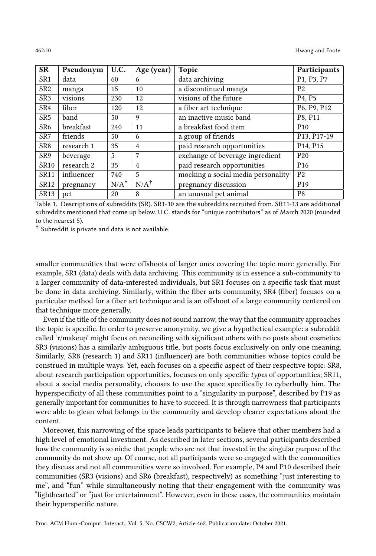<span id="page-9-0"></span>

| <b>SR</b>        | Pseudonym  | U.C.            | Age (year)      | <b>Topic</b>                       | Participants                      |
|------------------|------------|-----------------|-----------------|------------------------------------|-----------------------------------|
| SR <sub>1</sub>  | data       | 60              | 6               | data archiving                     | P1, P3, P7                        |
| SR <sub>2</sub>  | manga      | 15              | 10              | a discontinued manga               | P <sub>2</sub>                    |
| SR <sub>3</sub>  | visions    | 230             | 12              | visions of the future              | P <sub>4</sub> , P <sub>5</sub>   |
| SR4              | fiber      | 120             | 12              | a fiber art technique              | P6, P9, P12                       |
| SR <sub>5</sub>  | band       | 50              | 9               | an inactive music band             | P8, P11                           |
| SR <sub>6</sub>  | breakfast  | 240             | 11              | a breakfast food item              | P <sub>10</sub>                   |
| SR <sub>7</sub>  | friends    | 50              | 6               | a group of friends                 | P13, P17-19                       |
| SR <sub>8</sub>  | research 1 | 35              | $\overline{4}$  | paid research opportunities        | P <sub>14</sub> , P <sub>15</sub> |
| SR9              | beverage   | 5               | 7               | exchange of beverage ingredient    | P <sub>20</sub>                   |
| <b>SR10</b>      | research 2 | 35              | $\overline{4}$  | paid research opportunities        | P <sub>16</sub>                   |
| <b>SR11</b>      | influencer | 740             | 5               | mocking a social media personality | P <sub>2</sub>                    |
| SR <sub>12</sub> | pregnancy  | $N/A^{\dagger}$ | $N/A^{\dagger}$ | pregnancy discussion               | P <sub>19</sub>                   |
| SR <sub>13</sub> | pet        | 20              | 8               | an unusual pet animal              | P <sub>8</sub>                    |

Table 1. Descriptions of subreddits (SR). SR1-10 are the subreddits recruited from. SR11-13 are additional subreddits mentioned that come up below. U.C. stands for "unique contributors" as of March 2020 (rounded to the nearest 5).

 $\dagger$  Subreddit is private and data is not available.

smaller communities that were offshoots of larger ones covering the topic more generally. For example, SR1 (data) deals with data archiving. This community is in essence a sub-community to a larger community of data-interested individuals, but SR1 focuses on a specific task that must be done in data archiving. Similarly, within the fiber arts community, SR4 (fiber) focuses on a particular method for a fiber art technique and is an offshoot of a large community centered on that technique more generally.

Even if the title of the community does not sound narrow, the way that the community approaches the topic is specific. In order to preserve anonymity, we give a hypothetical example: a subreddit called 'r/makeup' might focus on reconciling with significant others with no posts about cosmetics. SR3 (visions) has a similarly ambiguous title, but posts focus exclusively on only one meaning. Similarly, SR8 (research 1) and SR11 (influencer) are both communities whose topics could be construed in multiple ways. Yet, each focuses on a specific aspect of their respective topic: SR8, about research participation opportunities, focuses on only specific types of opportunities; SR11, about a social media personality, chooses to use the space specifically to cyberbully him. The hyperspecificity of all these communities point to a "singularity in purpose", described by P19 as generally important for communities to have to succeed. It is through narrowness that participants were able to glean what belongs in the community and develop clearer expectations about the content.

Moreover, this narrowing of the space leads participants to believe that other members had a high level of emotional investment. As described in later sections, several participants described how the community is so niche that people who are not that invested in the singular purpose of the community do not show up. Of course, not all participants were so engaged with the communities they discuss and not all communities were so involved. For example, P4 and P10 described their communities (SR3 (visions) and SR6 (breakfast), respectively) as something "just interesting to me", and "fun" while simultaneously noting that their engagement with the community was "lighthearted" or "just for entertainment". However, even in these cases, the communities maintain their hyperspecific nature.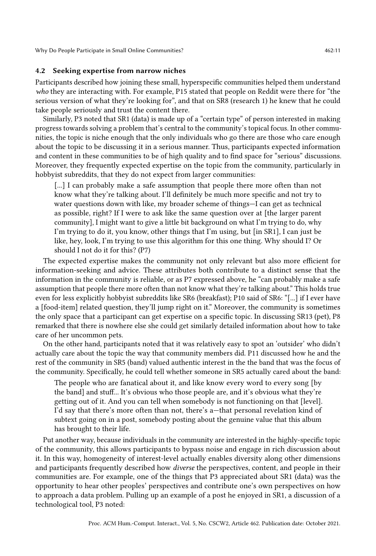# 4.2 Seeking expertise from narrow niches

Participants described how joining these small, hyperspecific communities helped them understand who they are interacting with. For example, P15 stated that people on Reddit were there for "the serious version of what they're looking for", and that on SR8 (research 1) he knew that he could take people seriously and trust the content there.

Similarly, P3 noted that SR1 (data) is made up of a "certain type" of person interested in making progress towards solving a problem that's central to the community's topical focus. In other communities, the topic is niche enough that the only individuals who go there are those who care enough about the topic to be discussing it in a serious manner. Thus, participants expected information and content in these communities to be of high quality and to find space for "serious" discussions. Moreover, they frequently expected expertise on the topic from the community, particularly in hobbyist subreddits, that they do not expect from larger communities:

[...] I can probably make a safe assumption that people there more often than not know what they're talking about. I'll definitely be much more specific and not try to water questions down with like, my broader scheme of things—I can get as technical as possible, right? If I were to ask like the same question over at [the larger parent community], I might want to give a little bit background on what I'm trying to do, why I'm trying to do it, you know, other things that I'm using, but [in SR1], I can just be like, hey, look, I'm trying to use this algorithm for this one thing. Why should I? Or should I not do it for this? (P7)

The expected expertise makes the community not only relevant but also more efficient for information-seeking and advice. These attributes both contribute to a distinct sense that the information in the community is reliable, or as P7 expressed above, he "can probably make a safe assumption that people there more often than not know what they're talking about." This holds true even for less explicitly hobbyist subreddits like SR6 (breakfast); P10 said of SR6: "[...] if I ever have a [food-item] related question, they'll jump right on it." Moreover, the community is sometimes the only space that a participant can get expertise on a specific topic. In discussing SR13 (pet), P8 remarked that there is nowhere else she could get similarly detailed information about how to take care of her uncommon pets.

On the other hand, participants noted that it was relatively easy to spot an 'outsider' who didn't actually care about the topic the way that community members did. P11 discussed how he and the rest of the community in SR5 (band) valued authentic interest in the the band that was the focus of the community. Specifically, he could tell whether someone in SR5 actually cared about the band:

The people who are fanatical about it, and like know every word to every song [by the band] and stuff... It's obvious who those people are, and it's obvious what they're getting out of it. And you can tell when somebody is not functioning on that [level]. I'd say that there's more often than not, there's a—that personal revelation kind of subtext going on in a post, somebody posting about the genuine value that this album has brought to their life.

Put another way, because individuals in the community are interested in the highly-specific topic of the community, this allows participants to bypass noise and engage in rich discussion about it. In this way, homogeneity of interest-level actually enables diversity along other dimensions and participants frequently described how diverse the perspectives, content, and people in their communities are. For example, one of the things that P3 appreciated about SR1 (data) was the opportunity to hear other peoples' perspectives and contribute one's own perspectives on how to approach a data problem. Pulling up an example of a post he enjoyed in SR1, a discussion of a technological tool, P3 noted: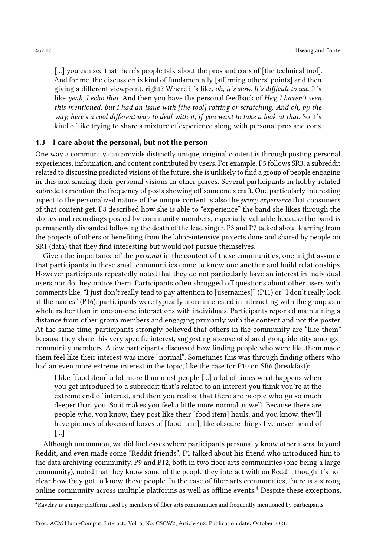[...] you can see that there's people talk about the pros and cons of [the technical tool]. And for me, the discussion is kind of fundamentally [affirming others' points] and then giving a different viewpoint, right? Where it's like, oh, it's slow. It's difficult to use. It's like yeah, I echo that. And then you have the personal feedback of Hey, I haven't seen this mentioned, but I had an issue with [the tool] rotting or scratching. And oh, by the way, here's a cool different way to deal with it, if you want to take a look at that. So it's kind of like trying to share a mixture of experience along with personal pros and cons.

# 4.3 I care about the personal, but not the person

One way a community can provide distinctly unique, original content is through posting personal experiences, information, and content contributed by users. For example, P5 follows SR3, a subreddit related to discussing predicted visions of the future; she is unlikely to find a group of people engaging in this and sharing their personal visions in other places. Several participants in hobby-related subreddits mention the frequency of posts showing off someone's craft. One particularly interesting aspect to the personalized nature of the unique content is also the *proxy experience* that consumers of that content get. P8 described how she is able to "experience" the band she likes through the stories and recordings posted by community members, especially valuable because the band is permanently disbanded following the death of the lead singer. P3 and P7 talked about learning from the projects of others or benefiting from the labor-intensive projects done and shared by people on SR1 (data) that they find interesting but would not pursue themselves.

Given the importance of the *personal* in the content of these communities, one might assume that participants in these small communities come to know one another and build relationships. However participants repeatedly noted that they do not particularly have an interest in individual users nor do they notice them. Participants often shrugged off questions about other users with comments like, "I just don't really tend to pay attention to [usernames]" (P11) or "I don't really look at the names" (P16); participants were typically more interested in interacting with the group as a whole rather than in one-on-one interactions with individuals. Participants reported maintaining a distance from other group members and engaging primarily with the content and not the poster. At the same time, participants strongly believed that others in the community are "like them" because they share this very specific interest, suggesting a sense of shared group identity amongst community members. A few participants discussed how finding people who were like them made them feel like their interest was more "normal". Sometimes this was through finding others who had an even more extreme interest in the topic, like the case for P10 on SR6 (breakfast):

I like [food item] a lot more than most people [...] a lot of times what happens when you get introduced to a subreddit that's related to an interest you think you're at the extreme end of interest, and then you realize that there are people who go so much deeper than you. So it makes you feel a little more normal as well. Because there are people who, you know, they post like their [food item] hauls, and you know, they'll have pictures of dozens of boxes of [food item], like obscure things I've never heard of [...]

Although uncommon, we did find cases where participants personally know other users, beyond Reddit, and even made some "Reddit friends". P1 talked about his friend who introduced him to the data archiving community. P9 and P12, both in two fiber arts communities (one being a large community), noted that they know some of the people they interact with on Reddit, though it's not clear how they got to know these people. In the case of fiber arts communities, there is a strong online community across multiple platforms as well as offline events.[4](#page-11-0) Despite these exceptions,

<span id="page-11-0"></span><sup>4</sup>Ravelry is a major platform used by members of fiber arts communities and frequently mentioned by participants.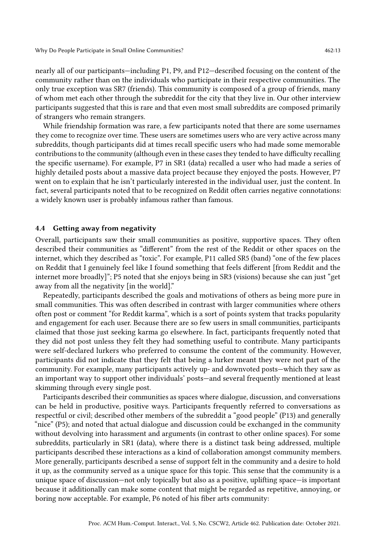nearly all of our participants—including P1, P9, and P12—described focusing on the content of the community rather than on the individuals who participate in their respective communities. The only true exception was SR7 (friends). This community is composed of a group of friends, many of whom met each other through the subreddit for the city that they live in. Our other interview participants suggested that this is rare and that even most small subreddits are composed primarily of strangers who remain strangers.

While friendship formation was rare, a few participants noted that there are some usernames they come to recognize over time. These users are sometimes users who are very active across many subreddits, though participants did at times recall specific users who had made some memorable contributions to the community (although even in these cases they tended to have difficulty recalling the specific username). For example, P7 in SR1 (data) recalled a user who had made a series of highly detailed posts about a massive data project because they enjoyed the posts. However, P7 went on to explain that he isn't particularly interested in the individual user, just the content. In fact, several participants noted that to be recognized on Reddit often carries negative connotations: a widely known user is probably infamous rather than famous.

#### 4.4 Getting away from negativity

Overall, participants saw their small communities as positive, supportive spaces. They often described their communities as "different" from the rest of the Reddit or other spaces on the internet, which they described as "toxic". For example, P11 called SR5 (band) "one of the few places on Reddit that I genuinely feel like I found something that feels different [from Reddit and the internet more broadly]"; P5 noted that she enjoys being in SR3 (visions) because she can just "get away from all the negativity [in the world]."

Repeatedly, participants described the goals and motivations of others as being more pure in small communities. This was often described in contrast with larger communities where others often post or comment "for Reddit karma", which is a sort of points system that tracks popularity and engagement for each user. Because there are so few users in small communities, participants claimed that those just seeking karma go elsewhere. In fact, participants frequently noted that they did not post unless they felt they had something useful to contribute. Many participants were self-declared lurkers who preferred to consume the content of the community. However, participants did not indicate that they felt that being a lurker meant they were not part of the community. For example, many participants actively up- and downvoted posts—which they saw as an important way to support other individuals' posts—and several frequently mentioned at least skimming through every single post.

Participants described their communities as spaces where dialogue, discussion, and conversations can be held in productive, positive ways. Participants frequently referred to conversations as respectful or civil; described other members of the subreddit a "good people" (P13) and generally "nice" (P5); and noted that actual dialogue and discussion could be exchanged in the community without devolving into harassment and arguments (in contrast to other online spaces). For some subreddits, particularly in SR1 (data), where there is a distinct task being addressed, multiple participants described these interactions as a kind of collaboration amongst community members. More generally, participants described a sense of support felt in the community and a desire to hold it up, as the community served as a unique space for this topic. This sense that the community is a unique space of discussion—not only topically but also as a positive, uplifting space—is important because it additionally can make some content that might be regarded as repetitive, annoying, or boring now acceptable. For example, P6 noted of his fiber arts community: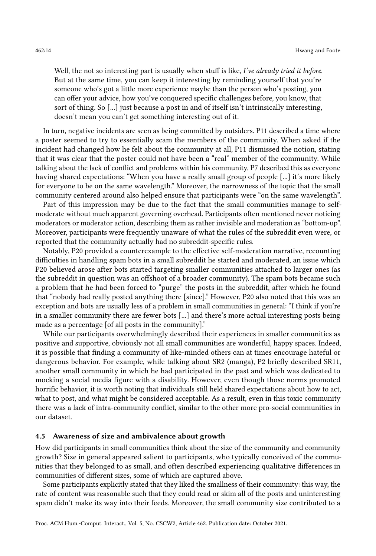Well, the not so interesting part is usually when stuff is like, I've already tried it before. But at the same time, you can keep it interesting by reminding yourself that you're someone who's got a little more experience maybe than the person who's posting, you can offer your advice, how you've conquered specific challenges before, you know, that sort of thing. So [...] just because a post in and of itself isn't intrinsically interesting, doesn't mean you can't get something interesting out of it.

In turn, negative incidents are seen as being committed by outsiders. P11 described a time where a poster seemed to try to essentially scam the members of the community. When asked if the incident had changed how he felt about the community at all, P11 dismissed the notion, stating that it was clear that the poster could not have been a "real" member of the community. While talking about the lack of conflict and problems within his community, P7 described this as everyone having shared expectations: "When you have a really small group of people [...] it's more likely for everyone to be on the same wavelength." Moreover, the narrowness of the topic that the small community centered around also helped ensure that participants were "on the same wavelength".

Part of this impression may be due to the fact that the small communities manage to selfmoderate without much apparent governing overhead. Participants often mentioned never noticing moderators or moderator action, describing them as rather invisible and moderation as "bottom-up". Moreover, participants were frequently unaware of what the rules of the subreddit even were, or reported that the community actually had no subreddit-specific rules.

Notably, P20 provided a counterexample to the effective self-moderation narrative, recounting difficulties in handling spam bots in a small subreddit he started and moderated, an issue which P20 believed arose after bots started targeting smaller communities attached to larger ones (as the subreddit in question was an offshoot of a broader community). The spam bots became such a problem that he had been forced to "purge" the posts in the subreddit, after which he found that "nobody had really posted anything there [since]." However, P20 also noted that this was an exception and bots are usually less of a problem in small communities in general: "I think if you're in a smaller community there are fewer bots [...] and there's more actual interesting posts being made as a percentage [of all posts in the community]."

While our participants overwhelmingly described their experiences in smaller communities as positive and supportive, obviously not all small communities are wonderful, happy spaces. Indeed, it is possible that finding a community of like-minded others can at times encourage hateful or dangerous behavior. For example, while talking about SR2 (manga), P2 briefly described SR11, another small community in which he had participated in the past and which was dedicated to mocking a social media figure with a disability. However, even though those norms promoted horrific behavior, it is worth noting that individuals still held shared expectations about how to act, what to post, and what might be considered acceptable. As a result, even in this toxic community there was a lack of intra-community conflict, similar to the other more pro-social communities in our dataset.

# 4.5 Awareness of size and ambivalence about growth

How did participants in small communities think about the size of the community and community growth? Size in general appeared salient to participants, who typically conceived of the communities that they belonged to as small, and often described experiencing qualitative differences in communities of different sizes, some of which are captured above.

Some participants explicitly stated that they liked the smallness of their community: this way, the rate of content was reasonable such that they could read or skim all of the posts and uninteresting spam didn't make its way into their feeds. Moreover, the small community size contributed to a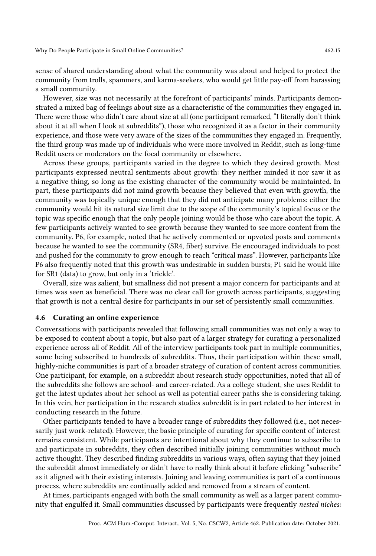sense of shared understanding about what the community was about and helped to protect the community from trolls, spammers, and karma-seekers, who would get little pay-off from harassing a small community.

However, size was not necessarily at the forefront of participants' minds. Participants demonstrated a mixed bag of feelings about size as a characteristic of the communities they engaged in. There were those who didn't care about size at all (one participant remarked, "I literally don't think about it at all when I look at subreddits"), those who recognized it as a factor in their community experience, and those were very aware of the sizes of the communities they engaged in. Frequently, the third group was made up of individuals who were more involved in Reddit, such as long-time Reddit users or moderators on the focal community or elsewhere.

Across these groups, participants varied in the degree to which they desired growth. Most participants expressed neutral sentiments about growth: they neither minded it nor saw it as a negative thing, so long as the existing character of the community would be maintainted. In part, these participants did not mind growth because they believed that even with growth, the community was topically unique enough that they did not anticipate many problems: either the community would hit its natural size limit due to the scope of the community's topical focus or the topic was specific enough that the only people joining would be those who care about the topic. A few participants actively wanted to see growth because they wanted to see more content from the community. P6, for example, noted that he actively commented or upvoted posts and comments because he wanted to see the community (SR4, fiber) survive. He encouraged individuals to post and pushed for the community to grow enough to reach "critical mass". However, participants like P6 also frequently noted that this growth was undesirable in sudden bursts; P1 said he would like for SR1 (data) to grow, but only in a 'trickle'.

Overall, size was salient, but smallness did not present a major concern for participants and at times was seen as beneficial. There was no clear call for growth across participants, suggesting that growth is not a central desire for participants in our set of persistently small communities.

#### <span id="page-14-0"></span>4.6 Curating an online experience

Conversations with participants revealed that following small communities was not only a way to be exposed to content about a topic, but also part of a larger strategy for curating a personalized experience across all of Reddit. All of the interview participants took part in multiple communities, some being subscribed to hundreds of subreddits. Thus, their participation within these small, highly-niche communities is part of a broader strategy of curation of content across communities. One participant, for example, on a subreddit about research study opportunities, noted that all of the subreddits she follows are school- and career-related. As a college student, she uses Reddit to get the latest updates about her school as well as potential career paths she is considering taking. In this vein, her participation in the research studies subreddit is in part related to her interest in conducting research in the future.

Other participants tended to have a broader range of subreddits they followed (i.e., not necessarily just work-related). However, the basic principle of curating for specific content of interest remains consistent. While participants are intentional about why they continue to subscribe to and participate in subreddits, they often described initially joining communities without much active thought. They described finding subreddits in various ways, often saying that they joined the subreddit almost immediately or didn't have to really think about it before clicking "subscribe" as it aligned with their existing interests. Joining and leaving communities is part of a continuous process, where subreddits are continually added and removed from a stream of content.

At times, participants engaged with both the small community as well as a larger parent community that engulfed it. Small communities discussed by participants were frequently nested niches: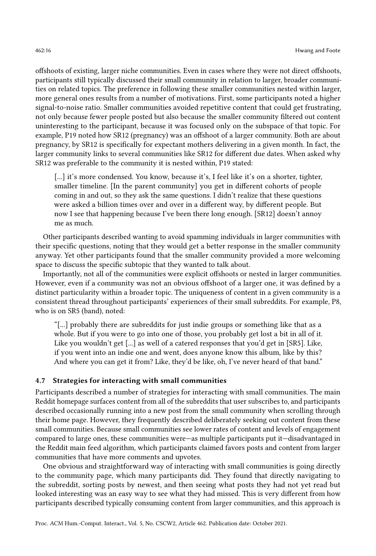offshoots of existing, larger niche communities. Even in cases where they were not direct offshoots, participants still typically discussed their small community in relation to larger, broader communities on related topics. The preference in following these smaller communities nested within larger, more general ones results from a number of motivations. First, some participants noted a higher signal-to-noise ratio. Smaller communities avoided repetitive content that could get frustrating, not only because fewer people posted but also because the smaller community filtered out content uninteresting to the participant, because it was focused only on the subspace of that topic. For example, P19 noted how SR12 (pregnancy) was an offshoot of a larger community. Both are about pregnancy, by SR12 is specifically for expectant mothers delivering in a given month. In fact, the larger community links to several communities like SR12 for different due dates. When asked why SR12 was preferable to the community it is nested within, P19 stated:

[...] it's more condensed. You know, because it's, I feel like it's on a shorter, tighter, smaller timeline. [In the parent community] you get in different cohorts of people coming in and out, so they ask the same questions. I didn't realize that these questions were asked a billion times over and over in a different way, by different people. But now I see that happening because I've been there long enough. [SR12] doesn't annoy me as much.

Other participants described wanting to avoid spamming individuals in larger communities with their specific questions, noting that they would get a better response in the smaller community anyway. Yet other participants found that the smaller community provided a more welcoming space to discuss the specific subtopic that they wanted to talk about.

Importantly, not all of the communities were explicit offshoots or nested in larger communities. However, even if a community was not an obvious offshoot of a larger one, it was defined by a distinct particularity within a broader topic. The uniqueness of content in a given community is a consistent thread throughout participants' experiences of their small subreddits. For example, P8, who is on SR5 (band), noted:

"[...] probably there are subreddits for just indie groups or something like that as a whole. But if you were to go into one of those, you probably get lost a bit in all of it. Like you wouldn't get [...] as well of a catered responses that you'd get in [SR5]. Like, if you went into an indie one and went, does anyone know this album, like by this? And where you can get it from? Like, they'd be like, oh, I've never heard of that band."

#### 4.7 Strategies for interacting with small communities

Participants described a number of strategies for interacting with small communities. The main Reddit homepage surfaces content from all of the subreddits that user subscribes to, and participants described occasionally running into a new post from the small community when scrolling through their home page. However, they frequently described deliberately seeking out content from these small communities. Because small communities see lower rates of content and levels of engagement compared to large ones, these communities were—as multiple participants put it—disadvantaged in the Reddit main feed algorithm, which participants claimed favors posts and content from larger communities that have more comments and upvotes.

One obvious and straightforward way of interacting with small communities is going directly to the community page, which many participants did. They found that directly navigating to the subreddit, sorting posts by newest, and then seeing what posts they had not yet read but looked interesting was an easy way to see what they had missed. This is very different from how participants described typically consuming content from larger communities, and this approach is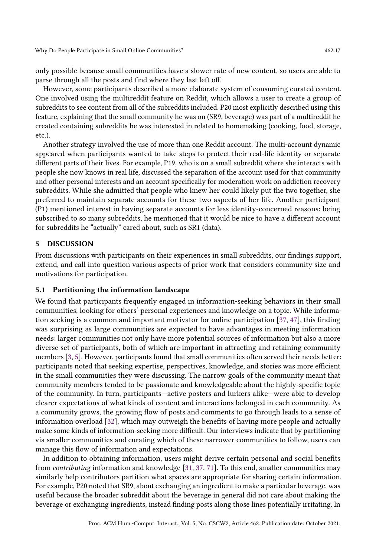only possible because small communities have a slower rate of new content, so users are able to parse through all the posts and find where they last left off.

However, some participants described a more elaborate system of consuming curated content. One involved using the multireddit feature on Reddit, which allows a user to create a group of subreddits to see content from all of the subreddits included. P20 most explicitly described using this feature, explaining that the small community he was on (SR9, beverage) was part of a multireddit he created containing subreddits he was interested in related to homemaking (cooking, food, storage, etc.).

Another strategy involved the use of more than one Reddit account. The multi-account dynamic appeared when participants wanted to take steps to protect their real-life identity or separate different parts of their lives. For example, P19, who is on a small subreddit where she interacts with people she now knows in real life, discussed the separation of the account used for that community and other personal interests and an account specifically for moderation work on addiction recovery subreddits. While she admitted that people who knew her could likely put the two together, she preferred to maintain separate accounts for these two aspects of her life. Another participant (P1) mentioned interest in having separate accounts for less identity-concerned reasons: being subscribed to so many subreddits, he mentioned that it would be nice to have a different account for subreddits he "actually" cared about, such as SR1 (data).

## 5 DISCUSSION

From discussions with participants on their experiences in small subreddits, our findings support, extend, and call into question various aspects of prior work that considers community size and motivations for participation.

#### 5.1 Partitioning the information landscape

We found that participants frequently engaged in information-seeking behaviors in their small communities, looking for others' personal experiences and knowledge on a topic. While information seeking is a common and important motivator for online participation [\[37,](#page-22-9) [47\]](#page-23-1), this finding was surprising as large communities are expected to have advantages in meeting information needs: larger communities not only have more potential sources of information but also a more diverse set of participants, both of which are important in attracting and retaining community members [\[3,](#page-20-0) [5\]](#page-20-2). However, participants found that small communities often served their needs better: participants noted that seeking expertise, perspectives, knowledge, and stories was more efficient in the small communities they were discussing. The narrow goals of the community meant that community members tended to be passionate and knowledgeable about the highly-specific topic of the community. In turn, participants—active posters and lurkers alike—were able to develop clearer expectations of what kinds of content and interactions belonged in each community. As a community grows, the growing flow of posts and comments to go through leads to a sense of information overload [\[32\]](#page-22-17), which may outweigh the benefits of having more people and actually make some kinds of information-seeking more difficult. Our interviews indicate that by partitioning via smaller communities and curating which of these narrower communities to follow, users can manage this flow of information and expectations.

In addition to obtaining information, users might derive certain personal and social benefits from contributing information and knowledge [\[31,](#page-22-8) [37,](#page-22-9) [71\]](#page-24-2). To this end, smaller communities may similarly help contributors partition what spaces are appropriate for sharing certain information. For example, P20 noted that SR9, about exchanging an ingredient to make a particular beverage, was useful because the broader subreddit about the beverage in general did not care about making the beverage or exchanging ingredients, instead finding posts along those lines potentially irritating. In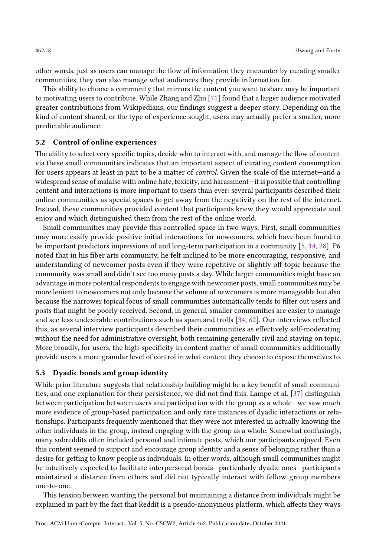other words, just as users can manage the flow of information they encounter by curating smaller communities, they can also manage what audiences they provide information for.

This ability to choose a community that mirrors the content you want to share may be important to motivating users to contribute. While Zhang and Zhu [\[71\]](#page-24-2) found that a larger audience motivated greater contributions from Wikipedians, our findings suggest a deeper story. Depending on the kind of content shared, or the type of experience sought, users may actually prefer a smaller, more predictable audience.

## 5.2 Control of online experiences

The ability to select very specific topics, decide who to interact with, and manage the flow of content via these small communities indicates that an important aspect of curating content consumption for users appears at least in part to be a matter of control. Given the scale of the internet—and a widespread sense of malaise with online hate, toxicity, and harassment—it is possible that controlling content and interactions is more important to users than ever: several participants described their online communities as special spaces to get away from the negativity on the rest of the internet. Instead, these communities provided content that participants knew they would appreciate and enjoy and which distinguished them from the rest of the online world.

Small communities may provide this controlled space in two ways. First, small communities may more easily provide positive initial interactions for newcomers, which have been found to be important predictors impressions of and long-term participation in a community [\[5,](#page-20-2) [14,](#page-21-5) [28\]](#page-22-11). P6 noted that in his fiber arts community, he felt inclined to be more encouraging, responsive, and understanding of newcomer posts even if they were repetitive or slightly off-topic because the community was small and didn't see too many posts a day. While larger communities might have an advantage in more potential respondents to engage with newcomer posts, small communities may be more lenient to newcomers not only because the volume of newcomers is more manageable but also because the narrower topical focus of small communities automatically tends to filter out users and posts that might be poorly received. Second, in general, smaller communities are easier to manage and see less undesirable contributions such as spam and trolls [\[34,](#page-22-3) [62\]](#page-23-12). Our interviews reflected this, as several interview participants described their communities as effectively self-moderating without the need for administrative oversight, both remaining generally civil and staying on topic. More broadly, for users, the high-specificity in content matter of small communities additionally provide users a more granular level of control in what content they choose to expose themselves to.

# 5.3 Dyadic bonds and group identity

While prior literature suggests that relationship building might be a key benefit of small communities, and one explanation for their persistence, we did not find this. Lampe et al. [\[37\]](#page-22-9) distinguish between participation between users and participation with the group as a whole—we saw much more evidence of group-based participation and only rare instances of dyadic interactions or relationships. Participants frequently mentioned that they were not interested in actually knowing the other individuals in the group, instead engaging with the group as a whole. Somewhat confusingly, many subreddits often included personal and intimate posts, which our participants enjoyed. Even this content seemed to support and encourage group identity and a sense of belonging rather than a desire for getting to know people as individuals. In other words, although small communities might be intuitively expected to facilitate interpersonal bonds—particularly dyadic ones—participants maintained a distance from others and did not typically interact with fellow group members one-to-one.

This tension between wanting the personal but maintaining a distance from individuals might be explained in part by the fact that Reddit is a pseudo-anonymous platform, which affects they ways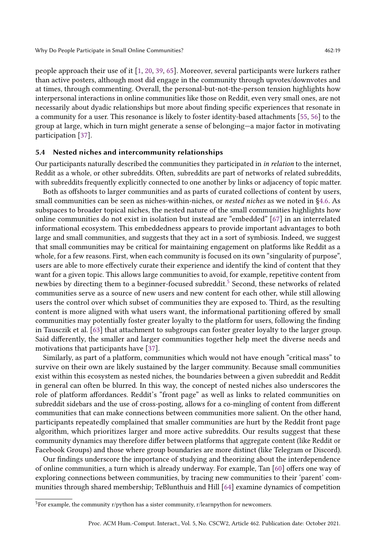people approach their use of it [\[1,](#page-20-1) [20,](#page-21-19) [39,](#page-22-18) [65\]](#page-23-18). Moreover, several participants were lurkers rather than active posters, although most did engage in the community through upvotes/downvotes and at times, through commenting. Overall, the personal-but-not-the-person tension highlights how interpersonal interactions in online communities like those on Reddit, even very small ones, are not necessarily about dyadic relationships but more about finding specific experiences that resonate in a community for a user. This resonance is likely to foster identity-based attachments [\[55,](#page-23-0) [56\]](#page-23-19) to the group at large, which in turn might generate a sense of belonging—a major factor in motivating participation [\[37\]](#page-22-9).

#### <span id="page-18-1"></span>5.4 Nested niches and intercommunity relationships

Our participants naturally described the communities they participated in in relation to the internet, Reddit as a whole, or other subreddits. Often, subreddits are part of networks of related subreddits, with subreddits frequently explicitly connected to one another by links or adjacency of topic matter.

Both as offshoots to larger communities and as parts of curated collections of content by users, small communities can be seen as niches-within-niches, or *nested niches* as we noted in [§4.6.](#page-14-0) As subspaces to broader topical niches, the nested nature of the small communities highlights how online communities do not exist in isolation but instead are "embedded" [\[67\]](#page-23-20) in an interrelated informational ecosystem. This embeddedness appears to provide important advantages to both large and small communities, and suggests that they act in a sort of symbiosis. Indeed, we suggest that small communities may be critical for maintaining engagement on platforms like Reddit as a whole, for a few reasons. First, when each community is focused on its own "singularity of purpose", users are able to more effectively curate their experience and identify the kind of content that they want for a given topic. This allows large communities to avoid, for example, repetitive content from newbies by directing them to a beginner-focused subreddit.<sup>[5](#page-18-0)</sup> Second, these networks of related communities serve as a source of new users and new content for each other, while still allowing users the control over which subset of communities they are exposed to. Third, as the resulting content is more aligned with what users want, the informational partitioning offered by small communities may potentially foster greater loyalty to the platform for users, following the finding in Tausczik et al. [\[63\]](#page-23-21) that attachment to subgroups can foster greater loyalty to the larger group. Said differently, the smaller and larger communities together help meet the diverse needs and motivations that participants have [\[37\]](#page-22-9).

Similarly, as part of a platform, communities which would not have enough "critical mass" to survive on their own are likely sustained by the larger community. Because small communities exist within this ecosystem as nested niches, the boundaries between a given subreddit and Reddit in general can often be blurred. In this way, the concept of nested niches also underscores the role of platform affordances. Reddit's "front page" as well as links to related communities on subreddit sidebars and the use of cross-posting, allows for a co-mingling of content from different communities that can make connections between communities more salient. On the other hand, participants repeatedly complained that smaller communities are hurt by the Reddit front page algorithm, which prioritizes larger and more active subreddits. Our results suggest that these community dynamics may therefore differ between platforms that aggregate content (like Reddit or Facebook Groups) and those where group boundaries are more distinct (like Telegram or Discord).

Our findings underscore the importance of studying and theorizing about the interdependence of online communities, a turn which is already underway. For example, Tan [\[60\]](#page-23-6) offers one way of exploring connections between communities, by tracing new communities to their 'parent' communities through shared membership; TeBlunthuis and Hill [\[64\]](#page-23-22) examine dynamics of competition

<span id="page-18-0"></span> $5$ For example, the community r/python has a sister community, r/learnpython for newcomers.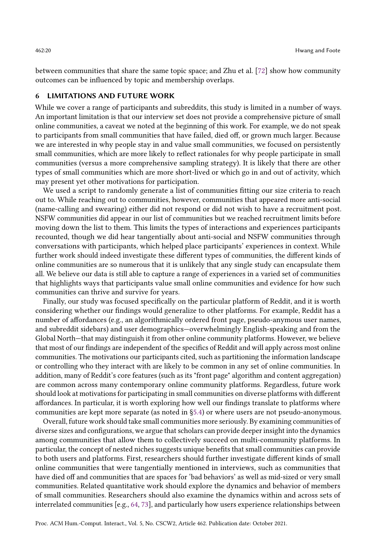between communities that share the same topic space; and Zhu et al. [\[72\]](#page-24-3) show how community outcomes can be influenced by topic and membership overlaps.

#### 6 LIMITATIONS AND FUTURE WORK

While we cover a range of participants and subreddits, this study is limited in a number of ways. An important limitation is that our interview set does not provide a comprehensive picture of small online communities, a caveat we noted at the beginning of this work. For example, we do not speak to participants from small communities that have failed, died off, or grown much larger. Because we are interested in why people stay in and value small communities, we focused on persistently small communities, which are more likely to reflect rationales for why people participate in small communities (versus a more comprehensive sampling strategy). It is likely that there are other types of small communities which are more short-lived or which go in and out of activity, which may present yet other motivations for participation.

We used a script to randomly generate a list of communities fitting our size criteria to reach out to. While reaching out to communities, however, communities that appeared more anti-social (name-calling and swearing) either did not respond or did not wish to have a recruitment post. NSFW communities did appear in our list of communities but we reached recruitment limits before moving down the list to them. This limits the types of interactions and experiences participants recounted, though we did hear tangentially about anti-social and NSFW communities through conversations with participants, which helped place participants' experiences in context. While further work should indeed investigate these different types of communities, the different kinds of online communities are so numerous that it is unlikely that any single study can encapsulate them all. We believe our data is still able to capture a range of experiences in a varied set of communities that highlights ways that participants value small online communities and evidence for how such communities can thrive and survive for years.

Finally, our study was focused specifically on the particular platform of Reddit, and it is worth considering whether our findings would generalize to other platforms. For example, Reddit has a number of affordances (e.g., an algorithmically ordered front page, pseudo-anymous user names, and subreddit sidebars) and user demographics—overwhelmingly English-speaking and from the Global North—that may distinguish it from other online community platforms. However, we believe that most of our findings are independent of the specifics of Reddit and will apply across most online communities. The motivations our participants cited, such as partitioning the information landscape or controlling who they interact with are likely to be common in any set of online communities. In addition, many of Reddit's core features (such as its "front page" algorithm and content aggregation) are common across many contemporary online community platforms. Regardless, future work should look at motivations for participating in small communities on diverse platforms with different affordances. In particular, it is worth exploring how well our findings translate to platforms where communities are kept more separate (as noted in [§5.4\)](#page-18-1) or where users are not pseudo-anonymous.

Overall, future work should take small communities more seriously. By examining communities of diverse sizes and configurations, we argue that scholars can provide deeper insight into the dynamics among communities that allow them to collectively succeed on multi-community platforms. In particular, the concept of nested niches suggests unique benefits that small communities can provide to both users and platforms. First, researchers should further investigate different kinds of small online communities that were tangentially mentioned in interviews, such as communities that have died off and communities that are spaces for 'bad behaviors' as well as mid-sized or very small communities. Related quantitative work should explore the dynamics and behavior of members of small communities. Researchers should also examine the dynamics within and across sets of interrelated communities [e.g., [64,](#page-23-22) [73\]](#page-24-4), and particularly how users experience relationships between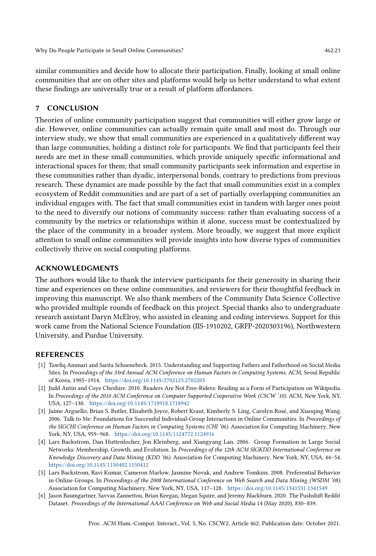similar communities and decide how to allocate their participation. Finally, looking at small online communities that are on other sites and platforms would help us better understand to what extent these findings are universally true or a result of platform affordances.

## 7 CONCLUSION

Theories of online community participation suggest that communities will either grow large or die. However, online communities can actually remain quite small and most do. Through our interview study, we show that small communities are experienced in a qualitatively different way than large communities, holding a distinct role for participants. We find that participants feel their needs are met in these small communities, which provide uniquely specific informational and interactional spaces for them; that small community participants seek information and expertise in these communities rather than dyadic, interpersonal bonds, contrary to predictions from previous research. These dynamics are made possible by the fact that small communities exist in a complex ecosystem of Reddit communities and are part of a set of partially overlapping communities an individual engages with. The fact that small communities exist in tandem with larger ones point to the need to diversify our notions of community success: rather than evaluating success of a community by the metrics or relationships within it alone, success must be contextualized by the place of the community in a broader system. More broadly, we suggest that more explicit attention to small online communities will provide insights into how diverse types of communities collectively thrive on social computing platforms.

## ACKNOWLEDGMENTS

The authors would like to thank the interview participants for their generosity in sharing their time and experiences on these online communities, and reviewers for their thoughtful feedback in improving this manuscript. We also thank members of the Community Data Science Collective who provided multiple rounds of feedback on this project. Special thanks also to undergraduate research assistant Daryn McElroy, who assisted in cleaning and coding interviews. Support for this work came from the National Science Foundation (IIS-1910202, GRFP-2020303196), Northwestern University, and Purdue University.

#### REFERENCES

- <span id="page-20-1"></span>[1] Tawfiq Ammari and Sarita Schoenebeck. 2015. Understanding and Supporting Fathers and Fatherhood on Social Media Sites. In Proceedings of the 33rd Annual ACM Conference on Human Factors in Computing Systems. ACM, Seoul Republic of Korea, 1905–1914. <https://doi.org/10.1145/2702123.2702205>
- <span id="page-20-3"></span>[2] Judd Antin and Coye Cheshire. 2010. Readers Are Not Free-Riders: Reading as a Form of Participation on Wikipedia. In Proceedings of the 2010 ACM Conference on Computer Supported Cooperative Work (CSCW '10). ACM, New York, NY, USA, 127–130. <https://doi.org/10.1145/1718918.1718942>
- <span id="page-20-0"></span>[3] Jaime Arguello, Brian S. Butler, Elisabeth Joyce, Robert Kraut, Kimberly S. Ling, Carolyn Rosé, and Xiaoqing Wang. 2006. Talk to Me: Foundations for Successful Individual-Group Interactions in Online Communities. In Proceedings of the SIGCHI Conference on Human Factors in Computing Systems (CHI '06). Association for Computing Machinery, New York, NY, USA, 959–968. <https://doi.org/10.1145/1124772.1124916>
- <span id="page-20-4"></span>[4] Lars Backstrom, Dan Huttenlocher, Jon Kleinberg, and Xiangyang Lan. 2006. Group Formation in Large Social Networks: Membership, Growth, and Evolution. In Proceedings of the 12th ACM SIGKDD International Conference on Knowledge Discovery and Data Mining (KDD '06). Association for Computing Machinery, New York, NY, USA, 44–54. <https://doi.org/10.1145/1150402.1150412>
- <span id="page-20-2"></span>[5] Lars Backstrom, Ravi Kumar, Cameron Marlow, Jasmine Novak, and Andrew Tomkins. 2008. Preferential Behavior in Online Groups. In Proceedings of the 2008 International Conference on Web Search and Data Mining (WSDM '08). Association for Computing Machinery, New York, NY, USA, 117–128. <https://doi.org/10.1145/1341531.1341549>
- <span id="page-20-5"></span>[6] Jason Baumgartner, Savvas Zannettou, Brian Keegan, Megan Squire, and Jeremy Blackburn. 2020. The Pushshift Reddit Dataset. Proceedings of the International AAAI Conference on Web and Social Media 14 (May 2020), 830–839.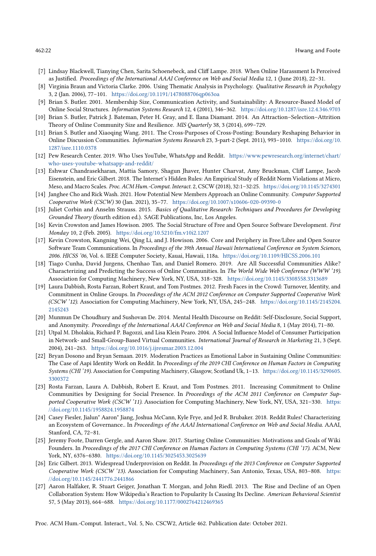- <span id="page-21-9"></span>[7] Lindsay Blackwell, Tianying Chen, Sarita Schoenebeck, and Cliff Lampe. 2018. When Online Harassment Is Perceived as Justified. Proceedings of the International AAAI Conference on Web and Social Media 12, 1 (June 2018), 22–31.
- <span id="page-21-17"></span>[8] Virginia Braun and Victoria Clarke. 2006. Using Thematic Analysis in Psychology. Qualitative Research in Psychology 3, 2 (Jan. 2006), 77–101. <https://doi.org/10.1191/1478088706qp063oa>
- <span id="page-21-0"></span>[9] Brian S. Butler. 2001. Membership Size, Communication Activity, and Sustainability: A Resource-Based Model of Online Social Structures. Information Systems Research 12, 4 (2001), 346–362. <https://doi.org/10.1287/isre.12.4.346.9703>
- <span id="page-21-1"></span>[10] Brian S. Butler, Patrick J. Bateman, Peter H. Gray, and E. Ilana Diamant. 2014. An Attraction–Selection–Attrition Theory of Online Community Size and Resilience. MIS Quarterly 38, 3 (2014), 699–729.
- <span id="page-21-10"></span>[11] Brian S. Butler and Xiaoqing Wang. 2011. The Cross-Purposes of Cross-Posting: Boundary Reshaping Behavior in Online Discussion Communities. Information Systems Research 23, 3-part-2 (Sept. 2011), 993–1010. [https://doi.org/10.](https://doi.org/10.1287/isre.1110.0378) [1287/isre.1110.0378](https://doi.org/10.1287/isre.1110.0378)
- <span id="page-21-16"></span>[12] Pew Research Center. 2019. Who Uses YouTube, WhatsApp and Reddit. [https://www.pewresearch.org/internet/chart/](https://www.pewresearch.org/internet/chart/who-uses-youtube-whatsapp-and-reddit/) [who-uses-youtube-whatsapp-and-reddit/](https://www.pewresearch.org/internet/chart/who-uses-youtube-whatsapp-and-reddit/)
- <span id="page-21-13"></span>[13] Eshwar Chandrasekharan, Mattia Samory, Shagun Jhaver, Hunter Charvat, Amy Bruckman, Cliff Lampe, Jacob Eisenstein, and Eric Gilbert. 2018. The Internet's Hidden Rules: An Empirical Study of Reddit Norm Violations at Micro, Meso, and Macro Scales. Proc. ACM Hum.-Comput. Interact. 2, CSCW (2018), 32:1–32:25. <https://doi.org/10.1145/3274301>
- <span id="page-21-5"></span>[14] Janghee Cho and Rick Wash. 2021. How Potential New Members Approach an Online Community. Computer Supported Cooperative Work (CSCW) 30 (Jan. 2021), 35–77. <https://doi.org/10.1007/s10606-020-09390-0>
- <span id="page-21-18"></span>[15] Juliet Corbin and Anselm Strauss. 2015. Basics of Qualitative Research: Techniques and Procedures for Developing Grounded Theory (fourth edition ed.). SAGE Publications, Inc, Los Angeles.
- <span id="page-21-3"></span>[16] Kevin Crowston and James Howison. 2005. The Social Structure of Free and Open Source Software Development. First Monday 10, 2 (Feb. 2005). <https://doi.org/10.5210/fm.v10i2.1207>
- [17] Kevin Crowston, Kangning Wei, Qing Li, and J. Howison. 2006. Core and Periphery in Free/Libre and Open Source Software Team Communications. In Proceedings of the 39th Annual Hawaii International Conference on System Sciences, 2006. HICSS '06, Vol. 6. IEEE Computer Society, Kauai, Hawaii, 118a. <https://doi.org/10.1109/HICSS.2006.101>
- <span id="page-21-4"></span>[18] Tiago Cunha, David Jurgens, Chenhao Tan, and Daniel Romero. 2019. Are All Successful Communities Alike? Characterizing and Predicting the Success of Online Communities. In The World Wide Web Conference (WWW '19). Association for Computing Machinery, New York, NY, USA, 318–328. <https://doi.org/10.1145/3308558.3313689>
- <span id="page-21-6"></span>[19] Laura Dabbish, Rosta Farzan, Robert Kraut, and Tom Postmes. 2012. Fresh Faces in the Crowd: Turnover, Identity, and Commitment in Online Groups. In Proceedings of the ACM 2012 Conference on Computer Supported Cooperative Work (CSCW '12). Association for Computing Machinery, New York, NY, USA, 245–248. [https://doi.org/10.1145/2145204.](https://doi.org/10.1145/2145204.2145243) [2145243](https://doi.org/10.1145/2145204.2145243)
- <span id="page-21-19"></span>[20] Munmun De Choudhury and Sushovan De. 2014. Mental Health Discourse on Reddit: Self-Disclosure, Social Support, and Anonymity. Proceedings of the International AAAI Conference on Web and Social Media 8, 1 (May 2014), 71–80.
- <span id="page-21-2"></span>[21] Utpal M. Dholakia, Richard P. Bagozzi, and Lisa Klein Pearo. 2004. A Social Influence Model of Consumer Participation in Network- and Small-Group-Based Virtual Communities. International Journal of Research in Marketing 21, 3 (Sept. 2004), 241–263. <https://doi.org/10.1016/j.ijresmar.2003.12.004>
- <span id="page-21-12"></span>[22] Bryan Dosono and Bryan Semaan. 2019. Moderation Practices as Emotional Labor in Sustaining Online Communities: The Case of Aapi Identity Work on Reddit. In Proceedings of the 2019 CHI Conference on Human Factors in Computing Systems (CHI '19). Association for Computing Machinery, Glasgow, Scotland Uk, 1–13. [https://doi.org/10.1145/3290605.](https://doi.org/10.1145/3290605.3300372) [3300372](https://doi.org/10.1145/3290605.3300372)
- <span id="page-21-8"></span>[23] Rosta Farzan, Laura A. Dabbish, Robert E. Kraut, and Tom Postmes. 2011. Increasing Commitment to Online Communities by Designing for Social Presence. In Proceedings of the ACM 2011 Conference on Computer Supported Cooperative Work (CSCW '11). Association for Computing Machinery, New York, NY, USA, 321–330. [https:](https://doi.org/10.1145/1958824.1958874) [//doi.org/10.1145/1958824.1958874](https://doi.org/10.1145/1958824.1958874)
- <span id="page-21-14"></span>[24] Casey Fiesler, Jialun" Aaron" Jiang, Joshua McCann, Kyle Frye, and Jed R. Brubaker. 2018. Reddit Rules! Characterizing an Ecosystem of Governance.. In Proceedings of the AAAI International Conference on Web and Social Media. AAAI, Stanford, CA, 72–81.
- <span id="page-21-11"></span>[25] Jeremy Foote, Darren Gergle, and Aaron Shaw. 2017. Starting Online Communities: Motivations and Goals of Wiki Founders. In Proceedings of the 2017 CHI Conference on Human Factors in Computing Systems (CHI '17). ACM, New York, NY, 6376–6380. <https://doi.org/10.1145/3025453.3025639>
- <span id="page-21-15"></span>[26] Eric Gilbert. 2013. Widespread Underprovision on Reddit. In Proceedings of the 2013 Conference on Computer Supported Cooperative Work (CSCW '13). Association for Computing Machinery, San Antonio, Texas, USA, 803–808. [https:](https://doi.org/10.1145/2441776.2441866) [//doi.org/10.1145/2441776.2441866](https://doi.org/10.1145/2441776.2441866)
- <span id="page-21-7"></span>[27] Aaron Halfaker, R. Stuart Geiger, Jonathan T. Morgan, and John Riedl. 2013. The Rise and Decline of an Open Collaboration System: How Wikipedia's Reaction to Popularity Is Causing Its Decline. American Behavioral Scientist 57, 5 (May 2013), 664–688. <https://doi.org/10.1177/0002764212469365>

Proc. ACM Hum.-Comput. Interact., Vol. 5, No. CSCW2, Article 462. Publication date: October 2021.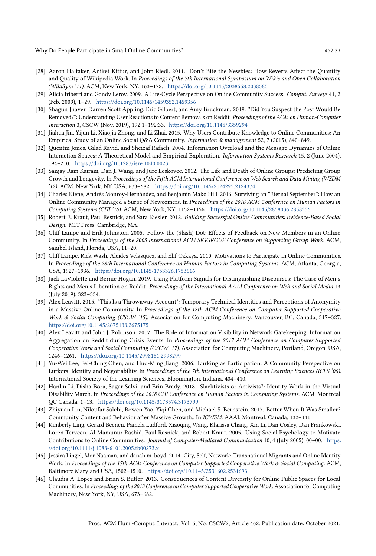- <span id="page-22-11"></span>[28] Aaron Halfaker, Aniket Kittur, and John Riedl. 2011. Don't Bite the Newbies: How Reverts Affect the Quantity and Quality of Wikipedia Work. In Proceedings of the 7th International Symposium on Wikis and Open Collaboration (WikiSym '11). ACM, New York, NY, 163–172. <https://doi.org/10.1145/2038558.2038585>
- <span id="page-22-13"></span>[29] Alicia Iriberri and Gondy Leroy. 2009. A Life-Cycle Perspective on Online Community Success. Comput. Surveys 41, 2 (Feb. 2009), 1–29. <https://doi.org/10.1145/1459352.1459356>
- <span id="page-22-15"></span>[30] Shagun Jhaver, Darren Scott Appling, Eric Gilbert, and Amy Bruckman. 2019. "Did You Suspect the Post Would Be Removed?": Understanding User Reactions to Content Removals on Reddit. Proceedings of the ACM on Human-Computer Interaction 3, CSCW (Nov. 2019), 192:1–192:33. <https://doi.org/10.1145/3359294>
- <span id="page-22-8"></span>[31] Jiahua Jin, Yijun Li, Xiaojia Zhong, and Li Zhai. 2015. Why Users Contribute Knowledge to Online Communities: An Empirical Study of an Online Social Q&A Community. Information & management 52, 7 (2015), 840–849.
- <span id="page-22-17"></span>[32] Quentin Jones, Gilad Ravid, and Sheizaf Rafaeli. 2004. Information Overload and the Message Dynamics of Online Interaction Spaces: A Theoretical Model and Empirical Exploration. Information Systems Research 15, 2 (June 2004), 194–210. <https://doi.org/10.1287/isre.1040.0023>
- <span id="page-22-12"></span>[33] Sanjay Ram Kairam, Dan J. Wang, and Jure Leskovec. 2012. The Life and Death of Online Groups: Predicting Group Growth and Longevity. In Proceedings of the Fifth ACM International Conference on Web Search and Data Mining (WSDM '12). ACM, New York, NY, USA, 673–682. <https://doi.org/10.1145/2124295.2124374>
- <span id="page-22-3"></span>[34] Charles Kiene, Andrés Monroy-Hernández, and Benjamin Mako Hill. 2016. Surviving an "Eternal September": How an Online Community Managed a Surge of Newcomers. In Proceedings of the 2016 ACM Conference on Human Factors in Computing Systems (CHI '16). ACM, New York, NY, 1152–1156. <https://doi.org/10.1145/2858036.2858356>
- <span id="page-22-0"></span>[35] Robert E. Kraut, Paul Resnick, and Sara Kiesler. 2012. Building Successful Online Communities: Evidence-Based Social Design. MIT Press, Cambridge, MA.
- <span id="page-22-1"></span>[36] Cliff Lampe and Erik Johnston. 2005. Follow the (Slash) Dot: Effects of Feedback on New Members in an Online Community. In Proceedings of the 2005 International ACM SIGGROUP Conference on Supporting Group Work. ACM, Sanibel Island, Florida, USA, 11–20.
- <span id="page-22-9"></span>[37] Cliff Lampe, Rick Wash, Alcides Velasquez, and Elif Ozkaya. 2010. Motivations to Participate in Online Communities. In Proceedings of the 28th International Conference on Human Factors in Computing Systems. ACM, Atlanta, Georgia, USA, 1927–1936. <https://doi.org/10.1145/1753326.1753616>
- <span id="page-22-14"></span>[38] Jack LaViolette and Bernie Hogan. 2019. Using Platform Signals for Distinguishing Discourses: The Case of Men's Rights and Men's Liberation on Reddit. Proceedings of the International AAAI Conference on Web and Social Media 13 (July 2019), 323–334.
- <span id="page-22-18"></span>[39] Alex Leavitt. 2015. "This Is a Throwaway Account": Temporary Technical Identities and Perceptions of Anonymity in a Massive Online Community. In Proceedings of the 18th ACM Conference on Computer Supported Cooperative Work & Social Computing (CSCW '15). Association for Computing Machinery, Vancouver, BC, Canada, 317–327. <https://doi.org/10.1145/2675133.2675175>
- <span id="page-22-16"></span>[40] Alex Leavitt and John J. Robinson. 2017. The Role of Information Visibility in Network Gatekeeping: Information Aggregation on Reddit during Crisis Events. In Proceedings of the 2017 ACM Conference on Computer Supported Cooperative Work and Social Computing (CSCW '17). Association for Computing Machinery, Portland, Oregon, USA, 1246–1261. <https://doi.org/10.1145/2998181.2998299>
- <span id="page-22-10"></span>[41] Yu-Wei Lee, Fei-Ching Chen, and Huo-Ming Jiang. 2006. Lurking as Participation: A Community Perspective on Lurkers' Identity and Negotiability. In Proceedings of the 7th International Conference on Learning Sciences (ICLS '06). International Society of the Learning Sciences, Bloomington, Indiana, 404–410.
- <span id="page-22-6"></span>[42] Hanlin Li, Disha Bora, Sagar Salvi, and Erin Brady. 2018. Slacktivists or Activists?: Identity Work in the Virtual Disability March. In Proceedings of the 2018 CHI Conference on Human Factors in Computing Systems. ACM, Montreal QC Canada, 1–13. <https://doi.org/10.1145/3173574.3173799>
- <span id="page-22-4"></span>[43] Zhiyuan Lin, Niloufar Salehi, Bowen Yao, Yiqi Chen, and Michael S. Bernstein. 2017. Better When It Was Smaller? Community Content and Behavior after Massive Growth.. In ICWSM. AAAI, Montreal, Canada, 132–141.
- <span id="page-22-5"></span>[44] Kimberly Ling, Gerard Beenen, Pamela Ludford, Xiaoqing Wang, Klarissa Chang, Xin Li, Dan Cosley, Dan Frankowski, Loren Terveen, Al Mamunur Rashid, Paul Resnick, and Robert Kraut. 2005. Using Social Psychology to Motivate Contributions to Online Communities. Journal of Computer-Mediated Communication 10, 4 (July 2005), 00–00. [https:](https://doi.org/10.1111/j.1083-6101.2005.tb00273.x) [//doi.org/10.1111/j.1083-6101.2005.tb00273.x](https://doi.org/10.1111/j.1083-6101.2005.tb00273.x)
- <span id="page-22-7"></span>[45] Jessica Lingel, Mor Naaman, and danah m. boyd. 2014. City, Self, Network: Transnational Migrants and Online Identity Work. In Proceedings of the 17th ACM Conference on Computer Supported Cooperative Work & Social Computing. ACM, Baltimore Maryland USA, 1502–1510. <https://doi.org/10.1145/2531602.2531693>
- <span id="page-22-2"></span>[46] Claudia A. López and Brian S. Butler. 2013. Consequences of Content Diversity for Online Public Spaces for Local Communities. In Proceedings of the 2013 Conference on Computer Supported Cooperative Work. Association for Computing Machinery, New York, NY, USA, 673–682.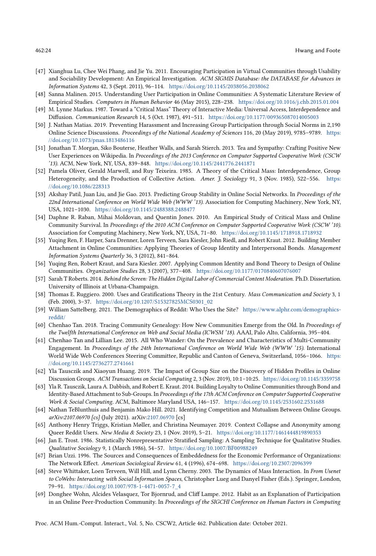- <span id="page-23-1"></span>[47] Xianghua Lu, Chee Wei Phang, and Jie Yu. 2011. Encouraging Participation in Virtual Communities through Usability and Sociability Development: An Empirical Investigation. ACM SIGMIS Database: the DATABASE for Advances in Information Systems 42, 3 (Sept. 2011), 96–114. <https://doi.org/10.1145/2038056.2038062>
- <span id="page-23-3"></span>[48] Sanna Malinen. 2015. Understanding User Participation in Online Communities: A Systematic Literature Review of Empirical Studies. Computers in Human Behavior 46 (May 2015), 228–238. <https://doi.org/10.1016/j.chb.2015.01.004>
- <span id="page-23-10"></span>[49] M. Lynne Markus. 1987. Toward a "Critical Mass" Theory of Interactive Media: Universal Access, Interdependence and Diffusion. Communication Research 14, 5 (Oct. 1987), 491–511. <https://doi.org/10.1177/009365087014005003>
- <span id="page-23-15"></span>[50] J. Nathan Matias. 2019. Preventing Harassment and Increasing Group Participation through Social Norms in 2,190 Online Science Discussions. Proceedings of the National Academy of Sciences 116, 20 (May 2019), 9785–9789. [https:](https://doi.org/10.1073/pnas.1813486116) [//doi.org/10.1073/pnas.1813486116](https://doi.org/10.1073/pnas.1813486116)
- <span id="page-23-5"></span>[51] Jonathan T. Morgan, Siko Bouterse, Heather Walls, and Sarah Stierch. 2013. Tea and Sympathy: Crafting Positive New User Experiences on Wikipedia. In Proceedings of the 2013 Conference on Computer Supported Cooperative Work (CSCW '13). ACM, New York, NY, USA, 839–848. <https://doi.org/10.1145/2441776.2441871>
- <span id="page-23-9"></span>[52] Pamela Oliver, Gerald Marwell, and Ruy Teixeira. 1985. A Theory of the Critical Mass: Interdependence, Group Heterogeneity, and the Production of Collective Action. Amer. J. Sociology 91, 3 (Nov. 1985), 522–556. [https:](https://doi.org/10.1086/228313) [//doi.org/10.1086/228313](https://doi.org/10.1086/228313)
- <span id="page-23-8"></span>[53] Akshay Patil, Juan Liu, and Jie Gao. 2013. Predicting Group Stability in Online Social Networks. In Proceedings of the 22nd International Conference on World Wide Web (WWW '13). Association for Computing Machinery, New York, NY, USA, 1021–1030. <https://doi.org/10.1145/2488388.2488477>
- <span id="page-23-11"></span>[54] Daphne R. Raban, Mihai Moldovan, and Quentin Jones. 2010. An Empirical Study of Critical Mass and Online Community Survival. In Proceedings of the 2010 ACM Conference on Computer Supported Cooperative Work (CSCW '10). Association for Computing Machinery, New York, NY, USA, 71–80. <https://doi.org/10.1145/1718918.1718932>
- <span id="page-23-0"></span>[55] Yuqing Ren, F. Harper, Sara Drenner, Loren Terveen, Sara Kiesler, John Riedl, and Robert Kraut. 2012. Building Member Attachment in Online Communities: Applying Theories of Group Identity and Interpersonal Bonds. Management Information Systems Quarterly 36, 3 (2012), 841–864.
- <span id="page-23-19"></span>[56] Yuqing Ren, Robert Kraut, and Sara Kiesler. 2007. Applying Common Identity and Bond Theory to Design of Online Communities. Organization Studies 28, 3 (2007), 377–408. <https://doi.org/10.1177/0170840607076007>
- <span id="page-23-13"></span>[57] Sarah T Roberts. 2014. Behind the Screen: The Hidden Digital Labor of Commercial Content Moderation. Ph.D. Dissertation. University of Illinois at Urbana-Champaign.
- <span id="page-23-2"></span>[58] Thomas E. Ruggiero. 2000. Uses and Gratifications Theory in the 21st Century. Mass Communication and Society 3, 1 (Feb. 2000), 3–37. [https://doi.org/10.1207/S15327825MCS0301\\_02](https://doi.org/10.1207/S15327825MCS0301_02)
- <span id="page-23-17"></span>[59] William Sattelberg. 2021. The Demographics of Reddit: Who Uses the Site? [https://www.alphr.com/demographics](https://www.alphr.com/demographics-reddit/)[reddit/](https://www.alphr.com/demographics-reddit/)
- <span id="page-23-6"></span>[60] Chenhao Tan. 2018. Tracing Community Genealogy: How New Communities Emerge from the Old. In Proceedings of the Twelfth International Conference on Web and Social Media (ICWSM '18). AAAI, Palo Alto, California, 395–404.
- <span id="page-23-14"></span>[61] Chenhao Tan and Lillian Lee. 2015. All Who Wander: On the Prevalence and Characteristics of Multi-Community Engagement. In Proceedings of the 24th International Conference on World Wide Web (WWW '15). International World Wide Web Conferences Steering Committee, Republic and Canton of Geneva, Switzerland, 1056–1066. [https:](https://doi.org/10.1145/2736277.2741661) [//doi.org/10.1145/2736277.2741661](https://doi.org/10.1145/2736277.2741661)
- <span id="page-23-12"></span>[62] Yla Tausczik and Xiaoyun Huang. 2019. The Impact of Group Size on the Discovery of Hidden Profiles in Online Discussion Groups. ACM Transactions on Social Computing 2, 3 (Nov. 2019), 10:1–10:25. <https://doi.org/10.1145/3359758>
- <span id="page-23-21"></span>[63] Yla R. Tausczik, Laura A. Dabbish, and Robert E. Kraut. 2014. Building Loyalty to Online Communities through Bond and Identity-Based Attachment to Sub-Groups. In Proceedings of the 17th ACM Conference on Computer Supported Cooperative Work & Social Computing. ACM, Baltimore Maryland USA, 146–157. <https://doi.org/10.1145/2531602.2531688>
- <span id="page-23-22"></span>[64] Nathan TeBlunthuis and Benjamin Mako Hill. 2021. Identifying Competition and Mutualism Between Online Groups. arXiv:2107.06970 [cs] (July 2021). arXiv[:2107.06970](https://arxiv.org/abs/2107.06970) [cs]
- <span id="page-23-18"></span>[65] Anthony Henry Triggs, Kristian Møller, and Christina Neumayer. 2019. Context Collapse and Anonymity among Queer Reddit Users. New Media & Society 23, 1 (Nov. 2019), 5-21. <https://doi.org/10.1177/1461444819890353>
- <span id="page-23-16"></span>[66] Jan E. Trost. 1986. Statistically Nonrepresentative Stratified Sampling: A Sampling Technique for Qualitative Studies. Qualitative Sociology 9, 1 (March 1986), 54–57. <https://doi.org/10.1007/BF00988249>
- <span id="page-23-20"></span>[67] Brian Uzzi. 1996. The Sources and Consequences of Embeddedness for the Economic Performance of Organizations: The Network Effect. American Sociological Review 61, 4 (1996), 674–698. <https://doi.org/10.2307/2096399>
- <span id="page-23-7"></span>[68] Steve Whittaker, Loen Terveen, Will Hill, and Lynn Cherny. 2003. The Dynamics of Mass Interaction. In From Usenet to CoWebs: Interacting with Social Information Spaces, Christopher Lueg and Danyel Fisher (Eds.). Springer, London, 79–91. [https://doi.org/10.1007/978-1-4471-0057-7\\_4](https://doi.org/10.1007/978-1-4471-0057-7_4)
- <span id="page-23-4"></span>[69] Donghee Wohn, Alcides Velasquez, Tor Bjornrud, and Cliff Lampe. 2012. Habit as an Explanation of Participation in an Online Peer-Production Community. In Proceedings of the SIGCHI Conference on Human Factors in Computing

Proc. ACM Hum.-Comput. Interact., Vol. 5, No. CSCW2, Article 462. Publication date: October 2021.